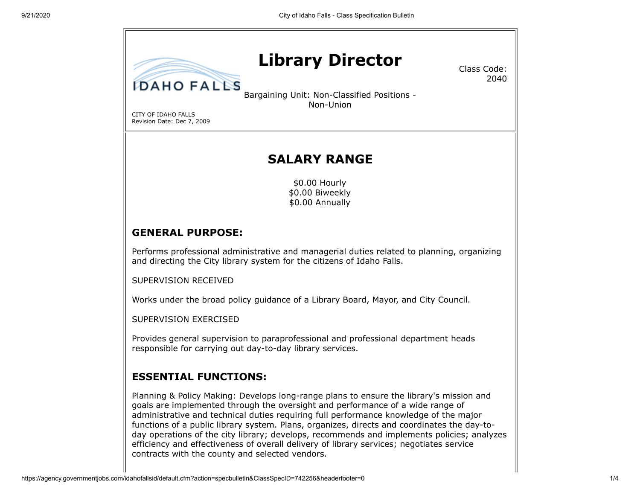# **Library Director**

Class Code: 2040

Bargaining Unit: Non-Classified Positions - Non-Union

CITY OF IDAHO FALLS Revision Date: Dec 7, 2009

**IDAHO FALLS** 

## **SALARY RANGE**

\$0.00 Hourly \$0.00 Biweekly \$0.00 Annually

### **GENERAL PURPOSE:**

Performs professional administrative and managerial duties related to planning, organizing and directing the City library system for the citizens of Idaho Falls.

SUPERVISION RECEIVED

Works under the broad policy guidance of a Library Board, Mayor, and City Council.

SUPERVISION EXERCISED

Provides general supervision to paraprofessional and professional department heads responsible for carrying out day-to-day library services.

#### **ESSENTIAL FUNCTIONS:**

Planning & Policy Making: Develops long-range plans to ensure the library's mission and goals are implemented through the oversight and performance of a wide range of administrative and technical duties requiring full performance knowledge of the major functions of a public library system. Plans, organizes, directs and coordinates the day-today operations of the city library; develops, recommends and implements policies; analyzes efficiency and effectiveness of overall delivery of library services; negotiates service contracts with the county and selected vendors.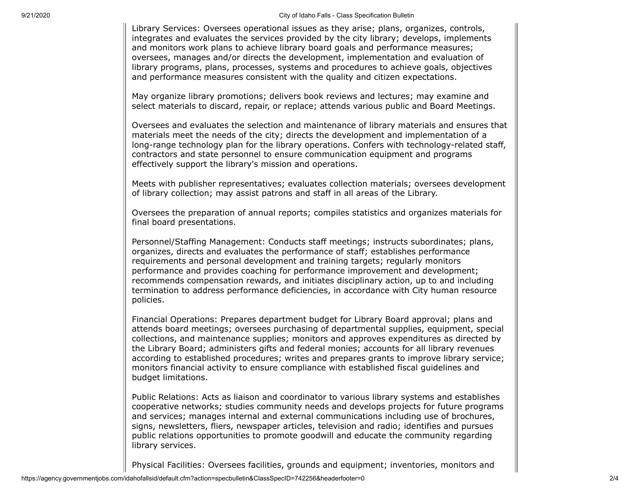9/21/2020 City of Idaho Falls - Class Specification Bulletin

Library Services: Oversees operational issues as they arise; plans, organizes, controls, integrates and evaluates the services provided by the city library; develops, implements and monitors work plans to achieve library board goals and performance measures; oversees, manages and/or directs the development, implementation and evaluation of library programs, plans, processes, systems and procedures to achieve goals, objectives and performance measures consistent with the quality and citizen expectations.

May organize library promotions; delivers book reviews and lectures; may examine and select materials to discard, repair, or replace; attends various public and Board Meetings.

Oversees and evaluates the selection and maintenance of library materials and ensures that materials meet the needs of the city; directs the development and implementation of a long-range technology plan for the library operations. Confers with technology-related staff, contractors and state personnel to ensure communication equipment and programs effectively support the library's mission and operations.

Meets with publisher representatives; evaluates collection materials; oversees development of library collection; may assist patrons and staff in all areas of the Library.

Oversees the preparation of annual reports; compiles statistics and organizes materials for final board presentations.

Personnel/Staffing Management: Conducts staff meetings; instructs subordinates; plans, organizes, directs and evaluates the performance of staff; establishes performance requirements and personal development and training targets; regularly monitors performance and provides coaching for performance improvement and development; recommends compensation rewards, and initiates disciplinary action, up to and including termination to address performance deficiencies, in accordance with City human resource policies.

Financial Operations: Prepares department budget for Library Board approval; plans and attends board meetings; oversees purchasing of departmental supplies, equipment, special collections, and maintenance supplies; monitors and approves expenditures as directed by the Library Board; administers gifts and federal monies; accounts for all library revenues according to established procedures; writes and prepares grants to improve library service; monitors financial activity to ensure compliance with established fiscal guidelines and budget limitations.

Public Relations: Acts as liaison and coordinator to various library systems and establishes cooperative networks; studies community needs and develops projects for future programs and services; manages internal and external communications including use of brochures, signs, newsletters, fliers, newspaper articles, television and radio; identifies and pursues public relations opportunities to promote goodwill and educate the community regarding library services.

Physical Facilities: Oversees facilities, grounds and equipment; inventories, monitors and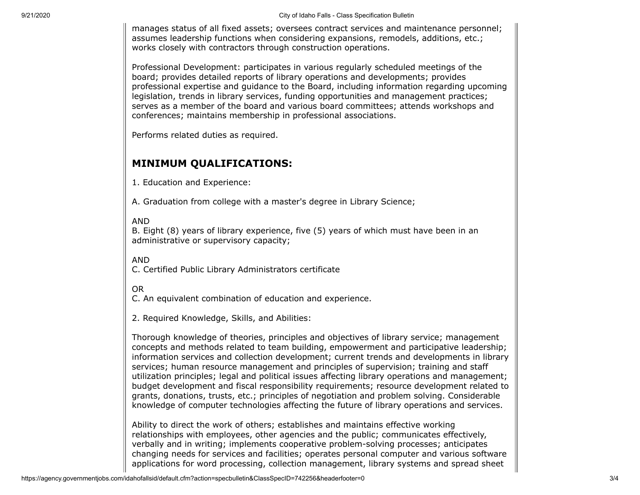manages status of all fixed assets; oversees contract services and maintenance personnel; assumes leadership functions when considering expansions, remodels, additions, etc.; works closely with contractors through construction operations.

Professional Development: participates in various regularly scheduled meetings of the board; provides detailed reports of library operations and developments; provides professional expertise and guidance to the Board, including information regarding upcoming legislation, trends in library services, funding opportunities and management practices; serves as a member of the board and various board committees; attends workshops and conferences; maintains membership in professional associations.

Performs related duties as required.

### **MINIMUM QUALIFICATIONS:**

1. Education and Experience:

A. Graduation from college with a master's degree in Library Science;

#### AND

B. Eight (8) years of library experience, five (5) years of which must have been in an administrative or supervisory capacity;

AND

C. Certified Public Library Administrators certificate

OR

C. An equivalent combination of education and experience.

2. Required Knowledge, Skills, and Abilities:

Thorough knowledge of theories, principles and objectives of library service; management concepts and methods related to team building, empowerment and participative leadership; information services and collection development; current trends and developments in library services; human resource management and principles of supervision; training and staff utilization principles; legal and political issues affecting library operations and management; budget development and fiscal responsibility requirements; resource development related to grants, donations, trusts, etc.; principles of negotiation and problem solving. Considerable knowledge of computer technologies affecting the future of library operations and services.

Ability to direct the work of others; establishes and maintains effective working relationships with employees, other agencies and the public; communicates effectively, verbally and in writing; implements cooperative problem-solving processes; anticipates changing needs for services and facilities; operates personal computer and various software applications for word processing, collection management, library systems and spread sheet